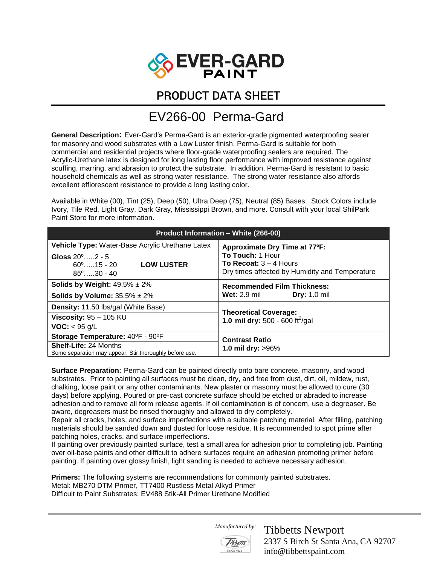

## PRODUCT DATA SHEET

## EV266-00 Perma-Gard

**General Description:** Ever-Gard's Perma-Gard is an exterior-grade pigmented waterproofing sealer for masonry and wood substrates with a Low Luster finish. Perma-Gard is suitable for both commercial and residential projects where floor-grade waterproofing sealers are required. The Acrylic-Urethane latex is designed for long lasting floor performance with improved resistance against scuffing, marring, and abrasion to protect the substrate. In addition, Perma-Gard is resistant to basic household chemicals as well as strong water resistance. The strong water resistance also affords excellent efflorescent resistance to provide a long lasting color.

Available in White (00), Tint (25), Deep (50), Ultra Deep (75), Neutral (85) Bases. Stock Colors include Ivory, Tile Red, Light Gray, Dark Gray, Mississippi Brown, and more. Consult with your local ShilPark Paint Store for more information.

| <b>Product Information - White (266-00)</b>                                                     |                                                                                                |
|-------------------------------------------------------------------------------------------------|------------------------------------------------------------------------------------------------|
| Vehicle Type: Water-Base Acrylic Urethane Latex                                                 | Approximate Dry Time at 77°F:                                                                  |
| Gloss $20^{\circ}$ $2 - 5$<br><b>LOW LUSTER</b><br>$60^{\circ}$ 15 - 20<br>$85^{\circ}$ 30 - 40 | To Touch: 1 Hour<br>To Recoat: $3 - 4$ Hours<br>Dry times affected by Humidity and Temperature |
| Solids by Weight: $49.5\% \pm 2\%$                                                              | <b>Recommended Film Thickness:</b><br><b>Wet:</b> 2.9 mil<br><b>Dry:</b> 1.0 mil               |
| Solids by Volume: $35.5\% \pm 2\%$                                                              |                                                                                                |
| <b>Density:</b> 11.50 lbs/gal (White Base)                                                      | <b>Theoretical Coverage:</b><br>1.0 mil dry: 500 - 600 ft <sup>2</sup> /gal                    |
| Viscosity: $95 - 105$ KU                                                                        |                                                                                                |
| <b>VOC:</b> $<$ 95 g/L                                                                          |                                                                                                |
| Storage Temperature: 40°F - 90°F                                                                | <b>Contrast Ratio</b><br>1.0 mil dry: $>96\%$                                                  |
| <b>Shelf-Life: 24 Months</b><br>Some separation may appear. Stir thoroughly before use.         |                                                                                                |

**Surface Preparation:** Perma-Gard can be painted directly onto bare concrete, masonry, and wood substrates. Prior to painting all surfaces must be clean, dry, and free from dust, dirt, oil, mildew, rust, chalking, loose paint or any other contaminants. New plaster or masonry must be allowed to cure (30 days) before applying. Poured or pre-cast concrete surface should be etched or abraded to increase adhesion and to remove all form release agents. If oil contamination is of concern, use a degreaser. Be aware, degreasers must be rinsed thoroughly and allowed to dry completely.

Repair all cracks, holes, and surface imperfections with a suitable patching material. After filling, patching materials should be sanded down and dusted for loose residue. It is recommended to spot prime after patching holes, cracks, and surface imperfections.

If painting over previously painted surface, test a small area for adhesion prior to completing job. Painting over oil-base paints and other difficult to adhere surfaces require an adhesion promoting primer before painting. If painting over glossy finish, light sanding is needed to achieve necessary adhesion.

**Primers:** The following systems are recommendations for commonly painted substrates. Metal: MB270 DTM Primer, TT7400 Rustless Metal Alkyd Primer Difficult to Paint Substrates: EV488 Stik-All Primer Urethane Modified

 *Manufactured by:* 



Tibbetts Newport 2337 S Birch St Santa Ana, CA 92707 info@tibbettspaint.com